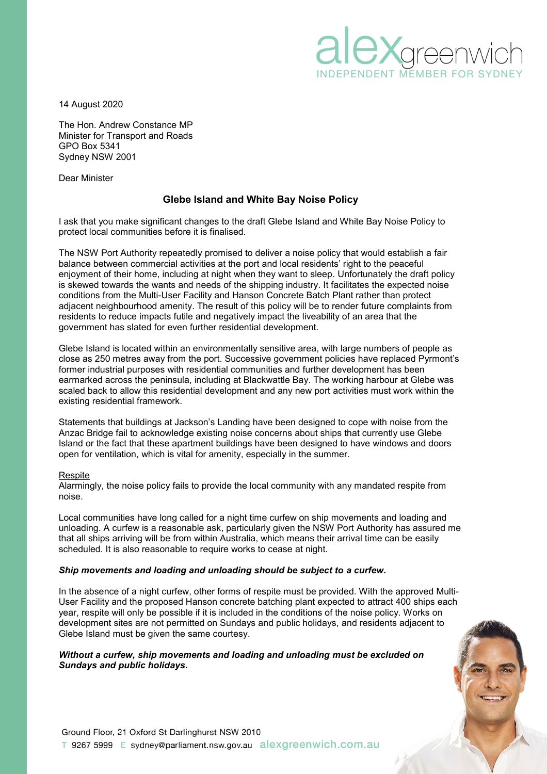

14 August 2020

The Hon. Andrew Constance MP Minister for Transport and Roads GPO Box 5341 Sydney NSW 2001

Dear Minister

# **Glebe Island and White Bay Noise Policy**

I ask that you make significant changes to the draft Glebe Island and White Bay Noise Policy to protect local communities before it is finalised.

The NSW Port Authority repeatedly promised to deliver a noise policy that would establish a fair balance between commercial activities at the port and local residents' right to the peaceful enjoyment of their home, including at night when they want to sleep. Unfortunately the draft policy is skewed towards the wants and needs of the shipping industry. It facilitates the expected noise conditions from the Multi-User Facility and Hanson Concrete Batch Plant rather than protect adjacent neighbourhood amenity. The result of this policy will be to render future complaints from residents to reduce impacts futile and negatively impact the liveability of an area that the government has slated for even further residential development.

Glebe Island is located within an environmentally sensitive area, with large numbers of people as close as 250 metres away from the port. Successive government policies have replaced Pyrmont's former industrial purposes with residential communities and further development has been earmarked across the peninsula, including at Blackwattle Bay. The working harbour at Glebe was scaled back to allow this residential development and any new port activities must work within the existing residential framework.

Statements that buildings at Jackson's Landing have been designed to cope with noise from the Anzac Bridge fail to acknowledge existing noise concerns about ships that currently use Glebe Island or the fact that these apartment buildings have been designed to have windows and doors open for ventilation, which is vital for amenity, especially in the summer.

### Respite

Alarmingly, the noise policy fails to provide the local community with any mandated respite from noise.

Local communities have long called for a night time curfew on ship movements and loading and unloading. A curfew is a reasonable ask, particularly given the NSW Port Authority has assured me that all ships arriving will be from within Australia, which means their arrival time can be easily scheduled. It is also reasonable to require works to cease at night.

### *Ship movements and loading and unloading should be subject to a curfew.*

In the absence of a night curfew, other forms of respite must be provided. With the approved Multi-User Facility and the proposed Hanson concrete batching plant expected to attract 400 ships each year, respite will only be possible if it is included in the conditions of the noise policy. Works on development sites are not permitted on Sundays and public holidays, and residents adjacent to Glebe Island must be given the same courtesy.

*Without a curfew, ship movements and loading and unloading must be excluded on Sundays and public holidays.*